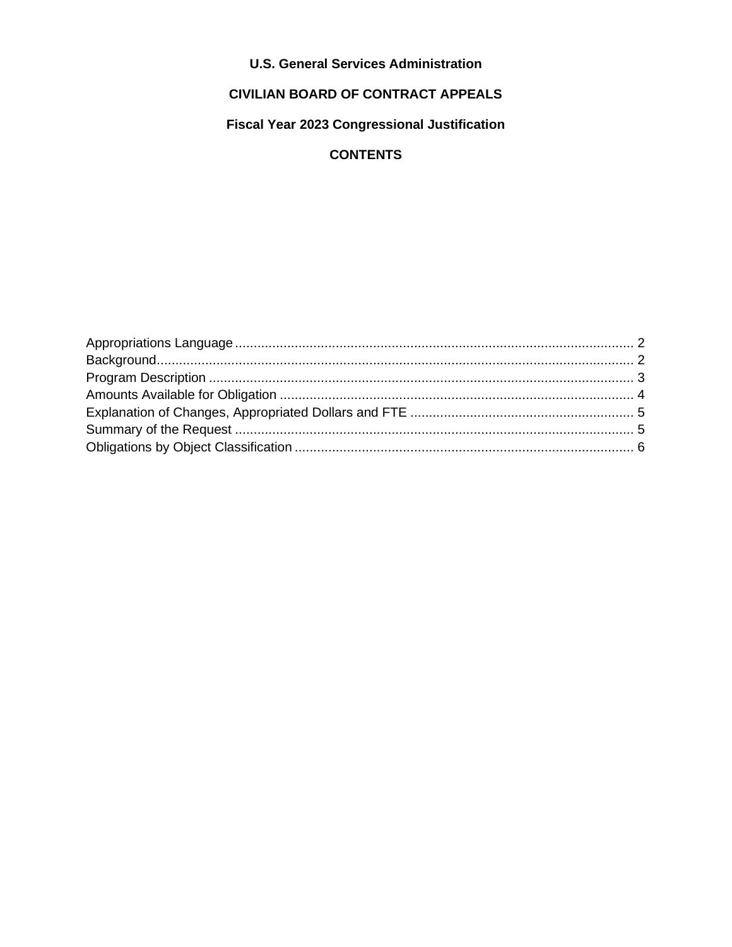## **U.S. General Services Administration**

### **CIVILIAN BOARD OF CONTRACT APPEALS**

### Fiscal Year 2023 Congressional Justification

## **CONTENTS**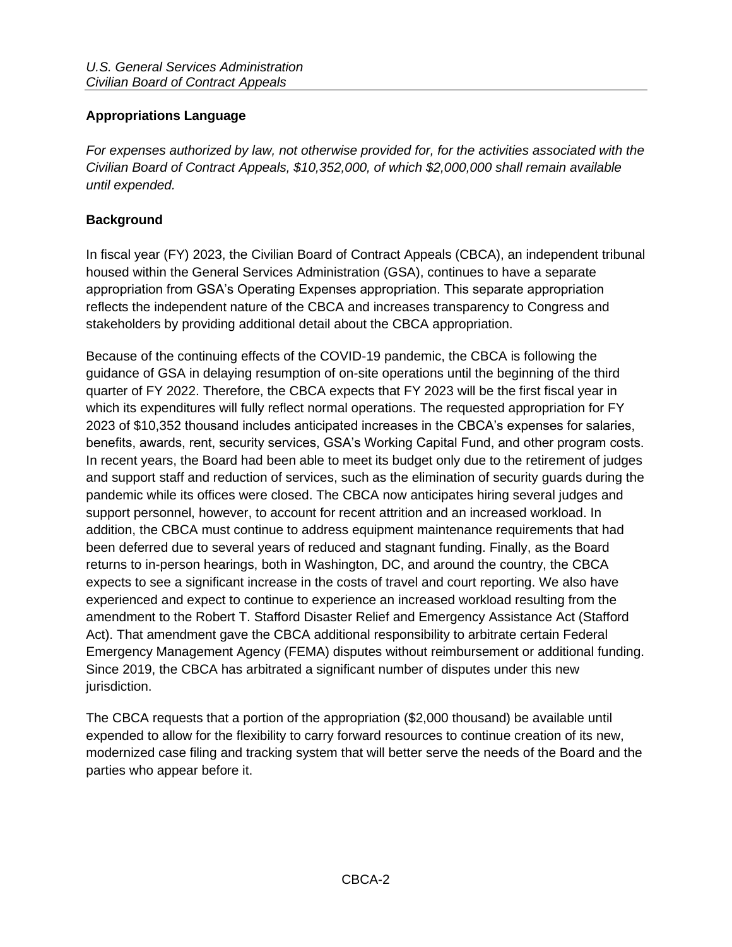### <span id="page-1-0"></span>**Appropriations Language**

*For expenses authorized by law, not otherwise provided for, for the activities associated with the Civilian Board of Contract Appeals, \$10,352,000, of which \$2,000,000 shall remain available until expended.*

#### <span id="page-1-1"></span>**Background**

In fiscal year (FY) 2023, the Civilian Board of Contract Appeals (CBCA), an independent tribunal housed within the General Services Administration (GSA), continues to have a separate appropriation from GSA's Operating Expenses appropriation. This separate appropriation reflects the independent nature of the CBCA and increases transparency to Congress and stakeholders by providing additional detail about the CBCA appropriation.

Because of the continuing effects of the COVID-19 pandemic, the CBCA is following the guidance of GSA in delaying resumption of on-site operations until the beginning of the third quarter of FY 2022. Therefore, the CBCA expects that FY 2023 will be the first fiscal year in which its expenditures will fully reflect normal operations. The requested appropriation for FY 2023 of \$10,352 thousand includes anticipated increases in the CBCA's expenses for salaries, benefits, awards, rent, security services, GSA's Working Capital Fund, and other program costs. In recent years, the Board had been able to meet its budget only due to the retirement of judges and support staff and reduction of services, such as the elimination of security guards during the pandemic while its offices were closed. The CBCA now anticipates hiring several judges and support personnel, however, to account for recent attrition and an increased workload. In addition, the CBCA must continue to address equipment maintenance requirements that had been deferred due to several years of reduced and stagnant funding. Finally, as the Board returns to in-person hearings, both in Washington, DC, and around the country, the CBCA expects to see a significant increase in the costs of travel and court reporting. We also have experienced and expect to continue to experience an increased workload resulting from the amendment to the Robert T. Stafford Disaster Relief and Emergency Assistance Act (Stafford Act). That amendment gave the CBCA additional responsibility to arbitrate certain Federal Emergency Management Agency (FEMA) disputes without reimbursement or additional funding. Since 2019, the CBCA has arbitrated a significant number of disputes under this new jurisdiction.

The CBCA requests that a portion of the appropriation (\$2,000 thousand) be available until expended to allow for the flexibility to carry forward resources to continue creation of its new, modernized case filing and tracking system that will better serve the needs of the Board and the parties who appear before it.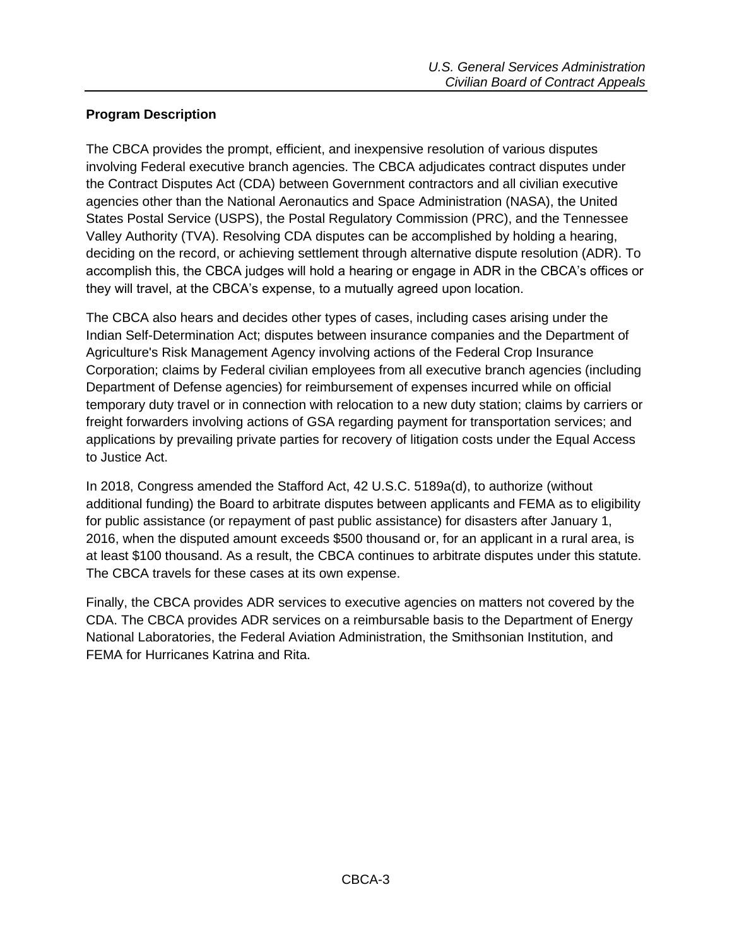#### <span id="page-2-0"></span>**Program Description**

The CBCA provides the prompt, efficient, and inexpensive resolution of various disputes involving Federal executive branch agencies. The CBCA adjudicates contract disputes under the Contract Disputes Act (CDA) between Government contractors and all civilian executive agencies other than the National Aeronautics and Space Administration (NASA), the United States Postal Service (USPS), the Postal Regulatory Commission (PRC), and the Tennessee Valley Authority (TVA). Resolving CDA disputes can be accomplished by holding a hearing, deciding on the record, or achieving settlement through alternative dispute resolution (ADR). To accomplish this, the CBCA judges will hold a hearing or engage in ADR in the CBCA's offices or they will travel, at the CBCA's expense, to a mutually agreed upon location.

The CBCA also hears and decides other types of cases, including cases arising under the Indian Self-Determination Act; disputes between insurance companies and the Department of Agriculture's Risk Management Agency involving actions of the Federal Crop Insurance Corporation; claims by Federal civilian employees from all executive branch agencies (including Department of Defense agencies) for reimbursement of expenses incurred while on official temporary duty travel or in connection with relocation to a new duty station; claims by carriers or freight forwarders involving actions of GSA regarding payment for transportation services; and applications by prevailing private parties for recovery of litigation costs under the Equal Access to Justice Act.

In 2018, Congress amended the Stafford Act, 42 U.S.C. 5189a(d), to authorize (without additional funding) the Board to arbitrate disputes between applicants and FEMA as to eligibility for public assistance (or repayment of past public assistance) for disasters after January 1, 2016, when the disputed amount exceeds \$500 thousand or, for an applicant in a rural area, is at least \$100 thousand. As a result, the CBCA continues to arbitrate disputes under this statute. The CBCA travels for these cases at its own expense.

Finally, the CBCA provides ADR services to executive agencies on matters not covered by the CDA. The CBCA provides ADR services on a reimbursable basis to the Department of Energy National Laboratories, the Federal Aviation Administration, the Smithsonian Institution, and FEMA for Hurricanes Katrina and Rita.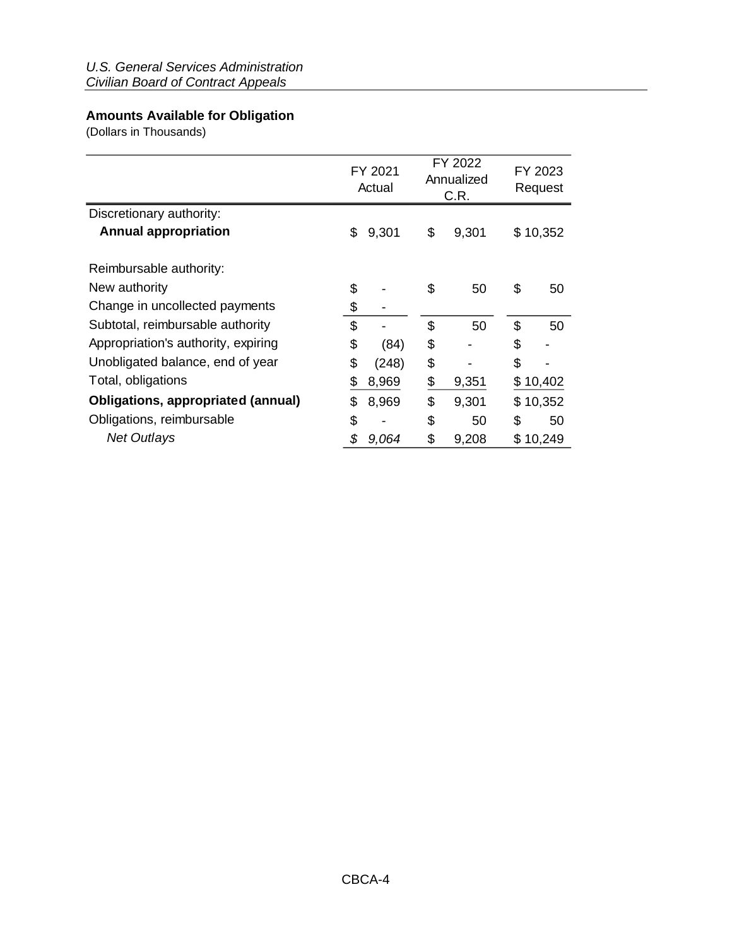## <span id="page-3-0"></span>**Amounts Available for Obligation**

(Dollars in Thousands)

|                                           |    | FY 2021<br>Actual |    | FY 2022<br>Annualized<br>C.R. | FY 2023<br>Request |          |  |
|-------------------------------------------|----|-------------------|----|-------------------------------|--------------------|----------|--|
| Discretionary authority:                  |    |                   |    |                               |                    |          |  |
| <b>Annual appropriation</b>               | \$ | 9,301             | \$ | 9,301                         |                    | \$10,352 |  |
| Reimbursable authority:                   |    |                   |    |                               |                    |          |  |
| New authority                             | \$ |                   | \$ | 50                            | \$                 | 50       |  |
| Change in uncollected payments            | \$ |                   |    |                               |                    |          |  |
| Subtotal, reimbursable authority          | \$ |                   | \$ | 50                            | \$                 | 50       |  |
| Appropriation's authority, expiring       | \$ | (84)              | \$ |                               | \$                 |          |  |
| Unobligated balance, end of year          | \$ | (248)             | \$ |                               | \$                 |          |  |
| Total, obligations                        | \$ | 8,969             | \$ | 9,351                         |                    | \$10,402 |  |
| <b>Obligations, appropriated (annual)</b> | S  | 8,969             | \$ | 9,301                         |                    | \$10,352 |  |
| Obligations, reimbursable                 | \$ |                   | \$ | 50                            | \$                 | 50       |  |
| <b>Net Outlays</b>                        | \$ | 9,064             | \$ | 9,208                         |                    | \$10,249 |  |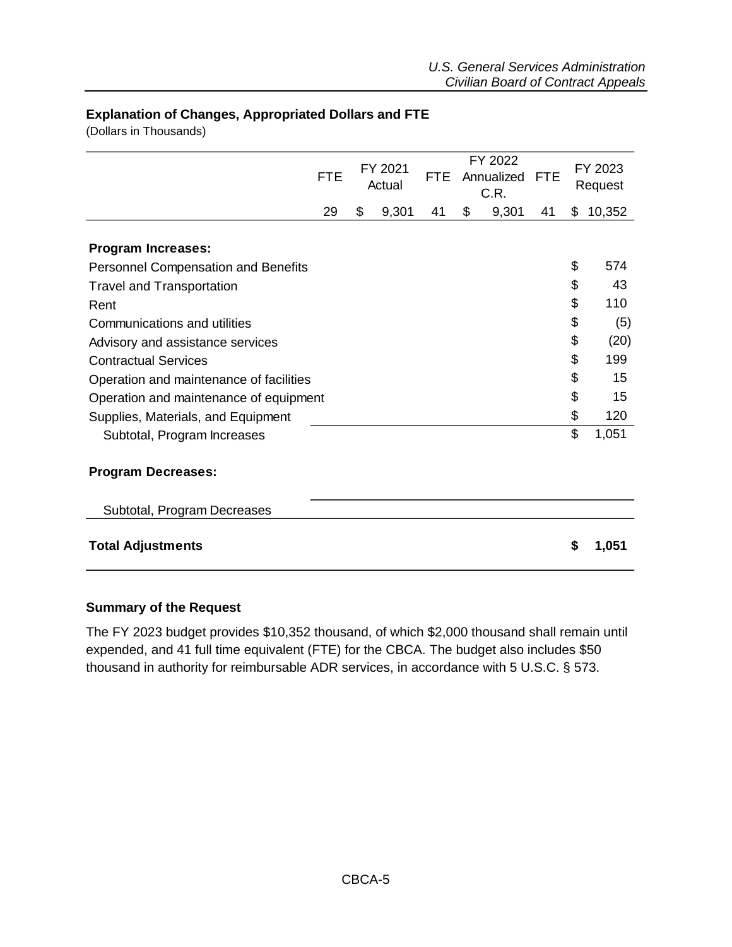#### <span id="page-4-0"></span>**Explanation of Changes, Appropriated Dollars and FTE**

(Dollars in Thousands)

|                                            | <b>FTE</b> | FY 2021<br><b>FTE</b><br>Actual |       | FY 2022<br>Annualized<br>C.R. |    | <b>FTE</b> | FY 2023<br>Request |    |        |
|--------------------------------------------|------------|---------------------------------|-------|-------------------------------|----|------------|--------------------|----|--------|
|                                            | 29         | \$                              | 9,301 | 41                            | \$ | 9,301      | 41                 | \$ | 10,352 |
| <b>Program Increases:</b>                  |            |                                 |       |                               |    |            |                    |    |        |
| <b>Personnel Compensation and Benefits</b> |            |                                 |       |                               |    |            |                    | \$ | 574    |
| <b>Travel and Transportation</b>           |            |                                 |       |                               |    |            |                    | \$ | 43     |
| Rent                                       |            |                                 |       |                               |    |            |                    | \$ | 110    |
| Communications and utilities               |            |                                 |       |                               |    |            |                    | \$ | (5)    |
| Advisory and assistance services           |            |                                 |       |                               |    |            |                    | \$ | (20)   |
| <b>Contractual Services</b>                |            |                                 |       |                               |    |            |                    | \$ | 199    |
| Operation and maintenance of facilities    |            |                                 |       |                               |    |            |                    | \$ | 15     |
| Operation and maintenance of equipment     |            |                                 |       |                               |    |            |                    | \$ | 15     |
| Supplies, Materials, and Equipment         |            |                                 |       |                               |    |            |                    | \$ | 120    |
| Subtotal, Program Increases                |            |                                 |       |                               |    |            |                    | \$ | 1,051  |
| <b>Program Decreases:</b>                  |            |                                 |       |                               |    |            |                    |    |        |
| Subtotal, Program Decreases                |            |                                 |       |                               |    |            |                    |    |        |
| <b>Total Adjustments</b>                   |            |                                 |       |                               |    |            |                    | \$ | 1,051  |

#### <span id="page-4-1"></span>**Summary of the Request**

The FY 2023 budget provides \$10,352 thousand, of which \$2,000 thousand shall remain until expended, and 41 full time equivalent (FTE) for the CBCA. The budget also includes \$50 thousand in authority for reimbursable ADR services, in accordance with 5 U.S.C. § 573.